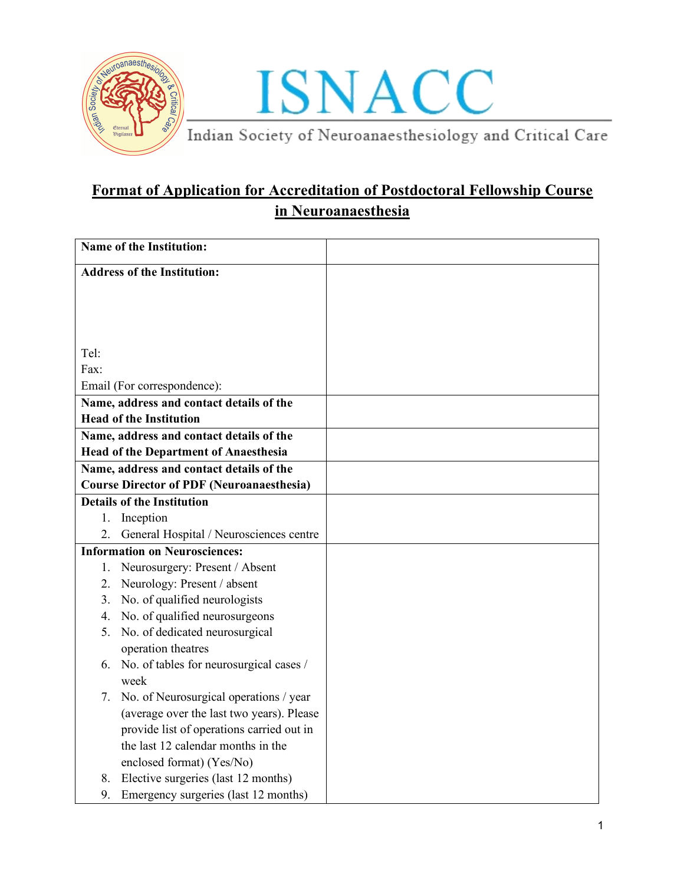

### **Format of Application for Accreditation of Postdoctoral Fellowship Course in Neuroanaesthesia**

| (average over the last two years). Please |
|-------------------------------------------|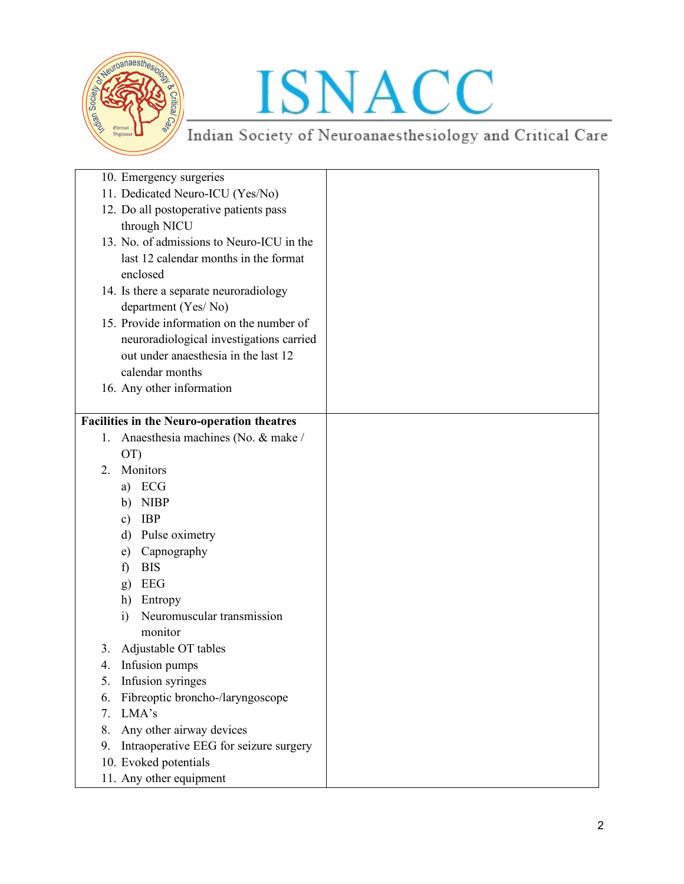

| 10. Emergency surgeries                           |                                           |  |
|---------------------------------------------------|-------------------------------------------|--|
| 11. Dedicated Neuro-ICU (Yes/No)                  |                                           |  |
| 12. Do all postoperative patients pass            |                                           |  |
| through NICU                                      |                                           |  |
|                                                   | 13. No. of admissions to Neuro-ICU in the |  |
|                                                   | last 12 calendar months in the format     |  |
| enclosed                                          |                                           |  |
| 14. Is there a separate neuroradiology            |                                           |  |
| department (Yes/No)                               |                                           |  |
|                                                   | 15. Provide information on the number of  |  |
|                                                   | neuroradiological investigations carried  |  |
|                                                   | out under anaesthesia in the last 12      |  |
| calendar months                                   |                                           |  |
| 16. Any other information                         |                                           |  |
|                                                   |                                           |  |
| <b>Facilities in the Neuro-operation theatres</b> |                                           |  |
| 1.                                                | Anaesthesia machines (No. & make /        |  |
| OT)                                               |                                           |  |
| Monitors<br>$\mathfrak{2}$ .                      |                                           |  |
| a) ECG                                            |                                           |  |
| <b>NIBP</b><br>b)                                 |                                           |  |
| <b>IBP</b><br>$\mathbf{c})$                       |                                           |  |
| Pulse oximetry<br>d)                              |                                           |  |
| Capnography<br>e)                                 |                                           |  |
| <b>BIS</b><br>$\mathbf{f}$                        |                                           |  |
| EEG<br>g)                                         |                                           |  |
| Entropy<br>h)                                     |                                           |  |
| i)<br>monitor                                     | Neuromuscular transmission                |  |
| Adjustable OT tables<br>3.                        |                                           |  |
| Infusion pumps<br>4.                              |                                           |  |
| Infusion syringes<br>5.                           |                                           |  |
| 6.                                                | Fibreoptic broncho-/laryngoscope          |  |
| LMA's<br>7.                                       |                                           |  |
| Any other airway devices<br>8.                    |                                           |  |
| 9.                                                | Intraoperative EEG for seizure surgery    |  |
| 10. Evoked potentials                             |                                           |  |
| 11. Any other equipment                           |                                           |  |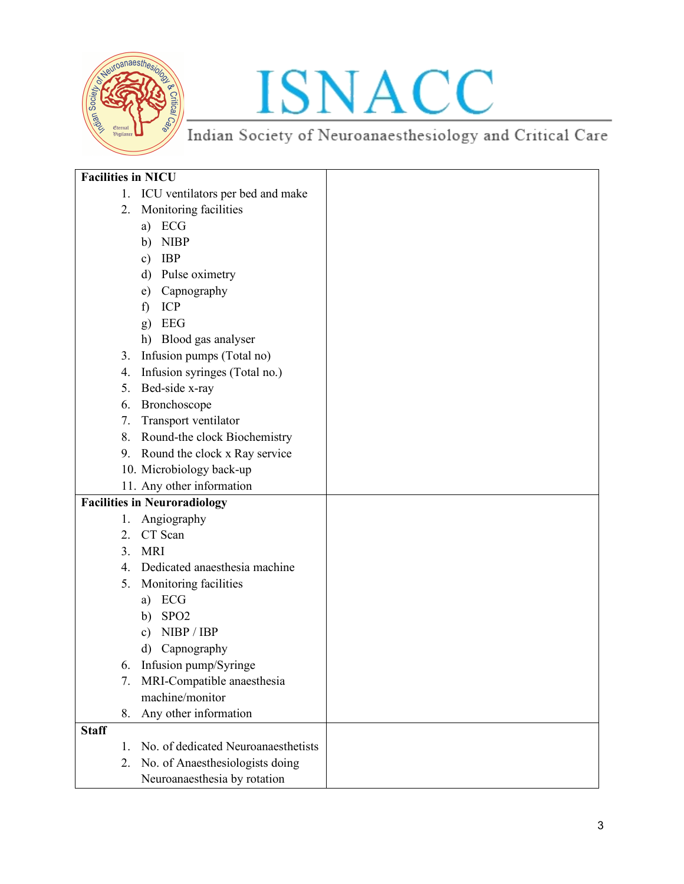

# ISNACC<br>Indian Society of Neuroanaesthesiology and Critical Care

| <b>Facilities in NICU</b> |                                     |  |
|---------------------------|-------------------------------------|--|
| 1.                        | ICU ventilators per bed and make    |  |
| 2.                        | Monitoring facilities               |  |
|                           | a) ECG                              |  |
|                           | <b>NIBP</b><br>b)                   |  |
|                           | <b>IBP</b><br>$\mathbf{c})$         |  |
|                           | $\mathbf{d}$<br>Pulse oximetry      |  |
|                           | Capnography<br>e)                   |  |
|                           | ICP<br>$\mathbf{f}$                 |  |
|                           | <b>EEG</b><br>g)                    |  |
|                           | h) Blood gas analyser               |  |
| 3.                        | Infusion pumps (Total no)           |  |
| 4.                        | Infusion syringes (Total no.)       |  |
| 5.                        | Bed-side x-ray                      |  |
| 6.                        | Bronchoscope                        |  |
| 7.                        | Transport ventilator                |  |
| 8.                        | Round-the clock Biochemistry        |  |
| 9.                        | Round the clock x Ray service       |  |
|                           | 10. Microbiology back-up            |  |
|                           | 11. Any other information           |  |
|                           | <b>Facilities in Neuroradiology</b> |  |
| 1.                        | Angiography                         |  |
|                           | 2. CT Scan                          |  |
| 3 <sub>1</sub>            | <b>MRI</b>                          |  |
| $4_{\cdot}$               | Dedicated anaesthesia machine       |  |
| 5.                        | Monitoring facilities               |  |
|                           | ECG<br>a)                           |  |
|                           | SPO <sub>2</sub><br>b)              |  |
|                           | NIBP / IBP<br>$\mathbf{c})$         |  |
|                           | Capnography<br>$\mathbf{d}$         |  |
| 6.                        | Infusion pump/Syringe               |  |
| 7.                        | MRI-Compatible anaesthesia          |  |
|                           | machine/monitor                     |  |
| 8.                        | Any other information               |  |
| <b>Staff</b>              |                                     |  |
| $1_{-}$                   | No. of dedicated Neuroanaesthetists |  |
| 2.                        | No. of Anaesthesiologists doing     |  |
|                           | Neuroanaesthesia by rotation        |  |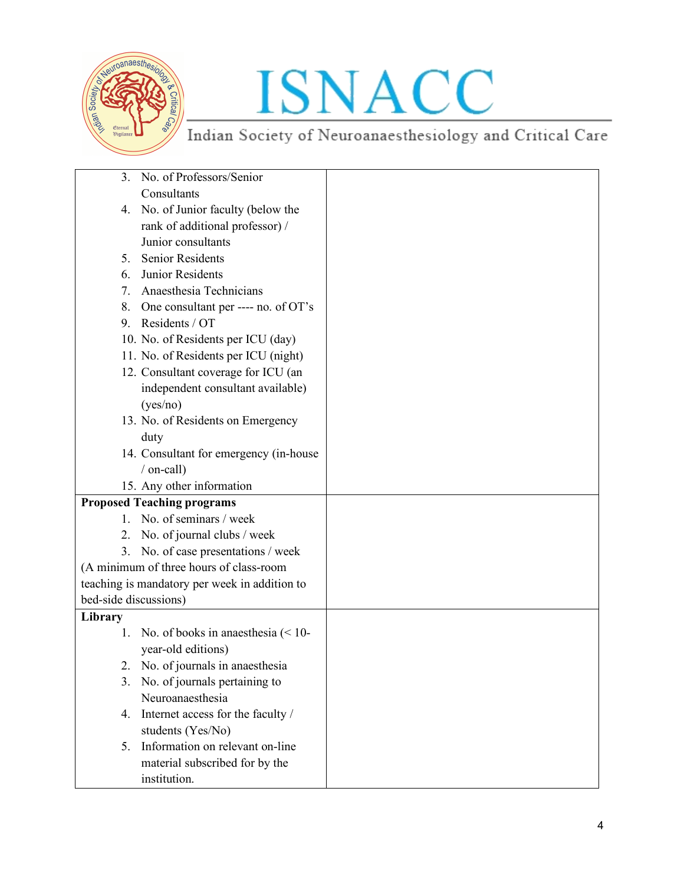

# ISNACC<br>Indian Society of Neuroanaesthesiology and Critical Care

| 3 <sub>1</sub>        | No. of Professors/Senior                      |  |
|-----------------------|-----------------------------------------------|--|
|                       | Consultants                                   |  |
| 4.                    | No. of Junior faculty (below the              |  |
|                       | rank of additional professor) /               |  |
|                       | Junior consultants                            |  |
| $5_{-}$               | <b>Senior Residents</b>                       |  |
| 6.                    | Junior Residents                              |  |
| 7.                    | Anaesthesia Technicians                       |  |
| 8.                    | One consultant per ---- no. of OT's           |  |
| 9.                    | Residents / OT                                |  |
|                       | 10. No. of Residents per ICU (day)            |  |
|                       | 11. No. of Residents per ICU (night)          |  |
|                       | 12. Consultant coverage for ICU (an           |  |
|                       | independent consultant available)             |  |
|                       | (yes/no)                                      |  |
|                       | 13. No. of Residents on Emergency             |  |
|                       | duty                                          |  |
|                       | 14. Consultant for emergency (in-house        |  |
|                       | / on-call)                                    |  |
|                       | 15. Any other information                     |  |
|                       | <b>Proposed Teaching programs</b>             |  |
|                       | 1. No. of seminars / week                     |  |
|                       | 2. No. of journal clubs / week                |  |
| 3.                    | No. of case presentations / week              |  |
|                       | (A minimum of three hours of class-room       |  |
|                       | teaching is mandatory per week in addition to |  |
| bed-side discussions) |                                               |  |
| Library               |                                               |  |
| 1.                    | No. of books in anaesthesia $(< 10$ -         |  |
|                       | year-old editions)                            |  |
|                       | No. of journals in anaesthesia                |  |
|                       | 3. No. of journals pertaining to              |  |
|                       | Neuroanaesthesia                              |  |
| 4.                    | Internet access for the faculty /             |  |
|                       | students (Yes/No)                             |  |
| 5.                    | Information on relevant on-line               |  |
|                       | material subscribed for by the                |  |
|                       | institution.                                  |  |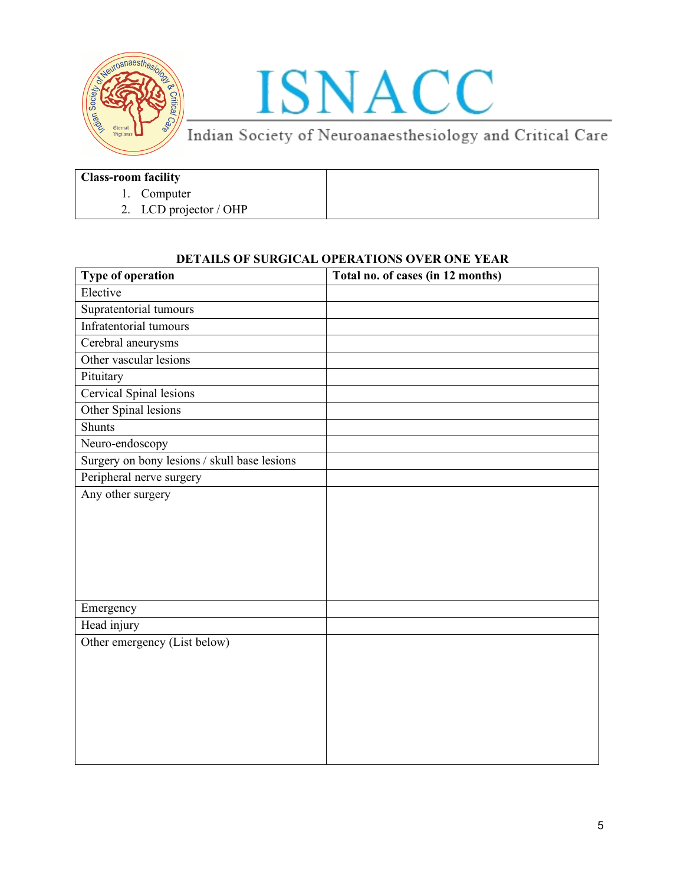

### ISNACC

Indian Society of Neuroanaesthesiology and Critical Care

### **Class-room facility**

- 1. Computer
- 2. LCD projector / OHP

#### **DETAILS OF SURGICAL OPERATIONS OVER ONE YEAR**

| Type of operation                            | Total no. of cases (in 12 months) |
|----------------------------------------------|-----------------------------------|
| Elective                                     |                                   |
| Supratentorial tumours                       |                                   |
| Infratentorial tumours                       |                                   |
| Cerebral aneurysms                           |                                   |
| Other vascular lesions                       |                                   |
| Pituitary                                    |                                   |
| Cervical Spinal lesions                      |                                   |
| Other Spinal lesions                         |                                   |
| <b>Shunts</b>                                |                                   |
| Neuro-endoscopy                              |                                   |
| Surgery on bony lesions / skull base lesions |                                   |
| Peripheral nerve surgery                     |                                   |
| Any other surgery                            |                                   |
|                                              |                                   |
|                                              |                                   |
|                                              |                                   |
|                                              |                                   |
|                                              |                                   |
|                                              |                                   |
| Emergency                                    |                                   |
| Head injury                                  |                                   |
| Other emergency (List below)                 |                                   |
|                                              |                                   |
|                                              |                                   |
|                                              |                                   |
|                                              |                                   |
|                                              |                                   |
|                                              |                                   |
|                                              |                                   |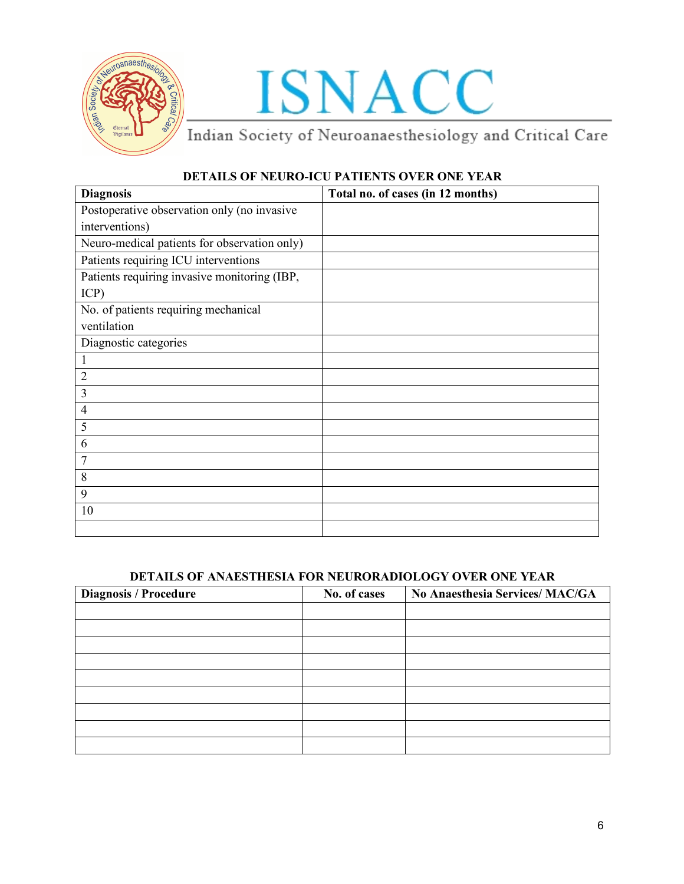

## ISNACC<br>Indian Society of Neuroanaesthesiology and Critical Care

### **DETAILS OF NEURO-ICU PATIENTS OVER ONE YEAR**

| <b>Diagnosis</b>                             | Total no. of cases (in 12 months) |
|----------------------------------------------|-----------------------------------|
| Postoperative observation only (no invasive  |                                   |
| interventions)                               |                                   |
| Neuro-medical patients for observation only) |                                   |
| Patients requiring ICU interventions         |                                   |
| Patients requiring invasive monitoring (IBP, |                                   |
| ICP)                                         |                                   |
| No. of patients requiring mechanical         |                                   |
| ventilation                                  |                                   |
| Diagnostic categories                        |                                   |
| $\mathbf{1}$                                 |                                   |
| $\overline{2}$                               |                                   |
| $\mathfrak{Z}$                               |                                   |
| $\overline{4}$                               |                                   |
| 5                                            |                                   |
| 6                                            |                                   |
| $\overline{7}$                               |                                   |
| $\,$ $\,$                                    |                                   |
| 9                                            |                                   |
| 10                                           |                                   |
|                                              |                                   |

#### **DETAILS OF ANAESTHESIA FOR NEURORADIOLOGY OVER ONE YEAR**

| <b>Diagnosis / Procedure</b> | No. of cases | No Anaesthesia Services/ MAC/GA |
|------------------------------|--------------|---------------------------------|
|                              |              |                                 |
|                              |              |                                 |
|                              |              |                                 |
|                              |              |                                 |
|                              |              |                                 |
|                              |              |                                 |
|                              |              |                                 |
|                              |              |                                 |
|                              |              |                                 |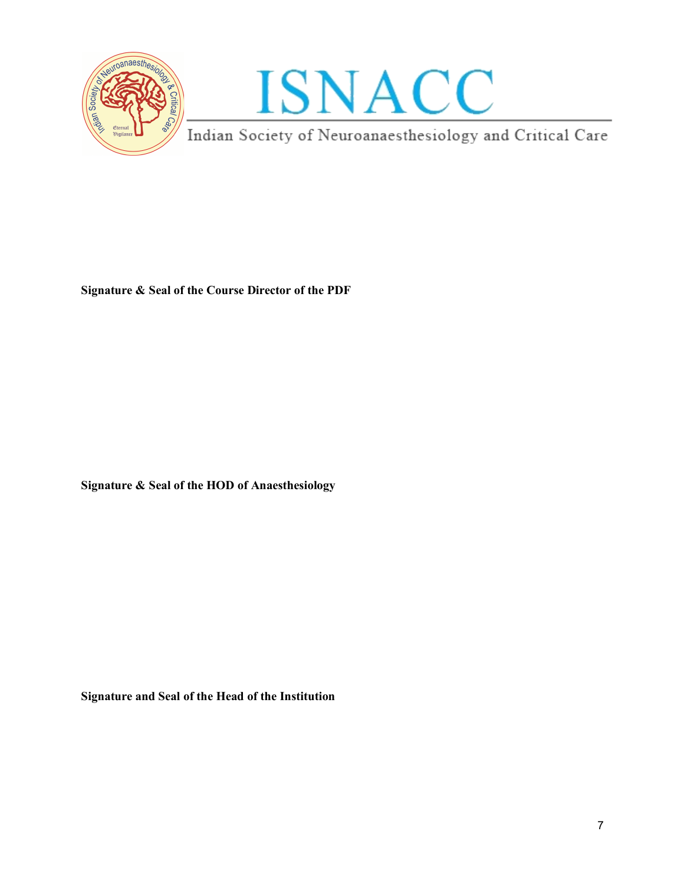

**Signature & Seal of the Course Director of the PDF**

**Signature & Seal of the HOD of Anaesthesiology**

**Signature and Seal of the Head of the Institution**